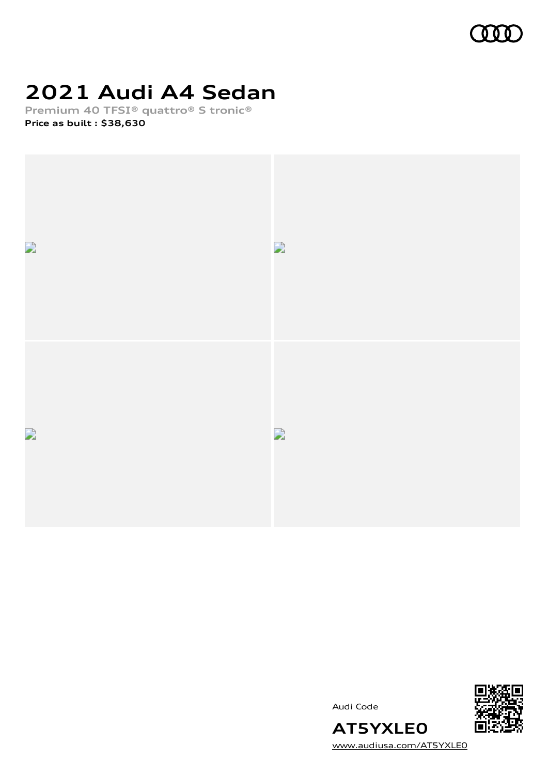

## **2021 Audi A4 Sedan**

**Premium 40 TFSI® quattro® S tronic® Price as built [:](#page-9-0) \$38,630**



Audi Code



[www.audiusa.com/AT5YXLE0](https://www.audiusa.com/AT5YXLE0)

**AT5YXLE0**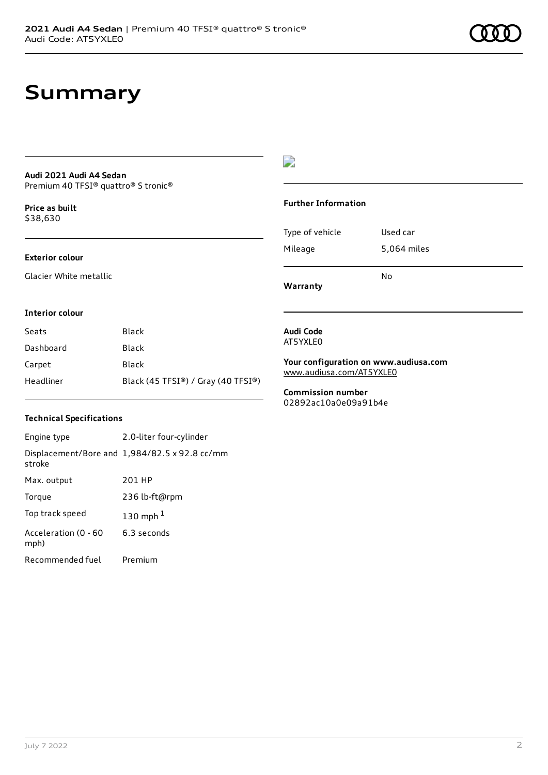## **Summary**

#### **Audi 2021 Audi A4 Sedan** Premium 40 TFSI® quattro® S tronic®

**Price as buil[t](#page-9-0)** \$38,630

### **Exterior colour**

Glacier White metallic

## D

### **Further Information**

Type of vehicle Used car Mileage 5,064 miles

**Warranty**

**Interior colour**

| Seats     | <b>Black</b>                       |
|-----------|------------------------------------|
| Dashboard | Black                              |
| Carpet    | Black                              |
| Headliner | Black (45 TFSI®) / Gray (40 TFSI®) |

### **Technical Specifications**

Engine type 2.0-liter four-cylinder Displacement/Bore and 1,984/82.5 x 92.8 cc/mm stroke Max. output 201 HP Torque 236 lb-ft@rpm Top track speed [1](#page-9-0)30 mph $<sup>1</sup>$ </sup> Acceleration (0 - 60 mph) 6.3 seconds Recommended fuel Premium

#### **Audi Code** AT5YXLE0

**Your configuration on www.audiusa.com** [www.audiusa.com/AT5YXLE0](https://www.audiusa.com/AT5YXLE0)

No

**Commission number** 02892ac10a0e09a91b4e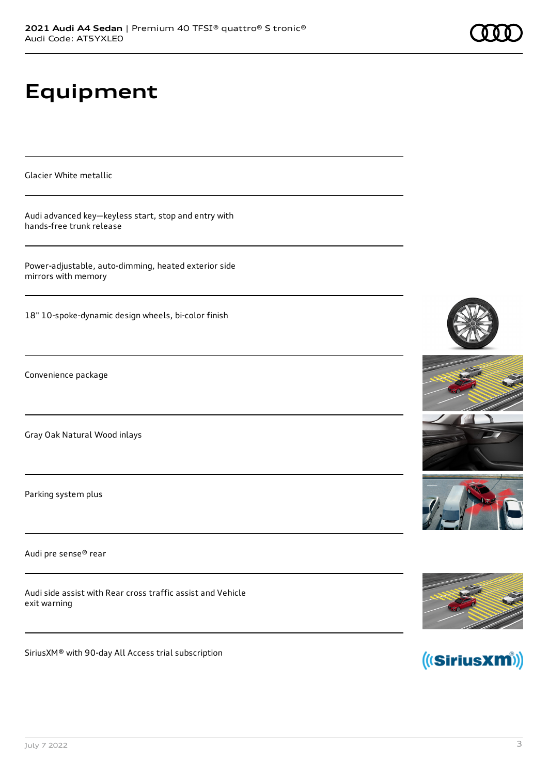# **Equipment**

Glacier White metallic

Audi advanced key—keyless start, stop and entry with hands-free trunk release

Power-adjustable, auto-dimming, heated exterior side mirrors with memory

18" 10-spoke-dynamic design wheels, bi-color finish

Convenience package

Gray Oak Natural Wood inlays

Parking system plus

Audi pre sense® rear

Audi side assist with Rear cross traffic assist and Vehicle exit warning

SiriusXM® with 90-day All Access trial subscription







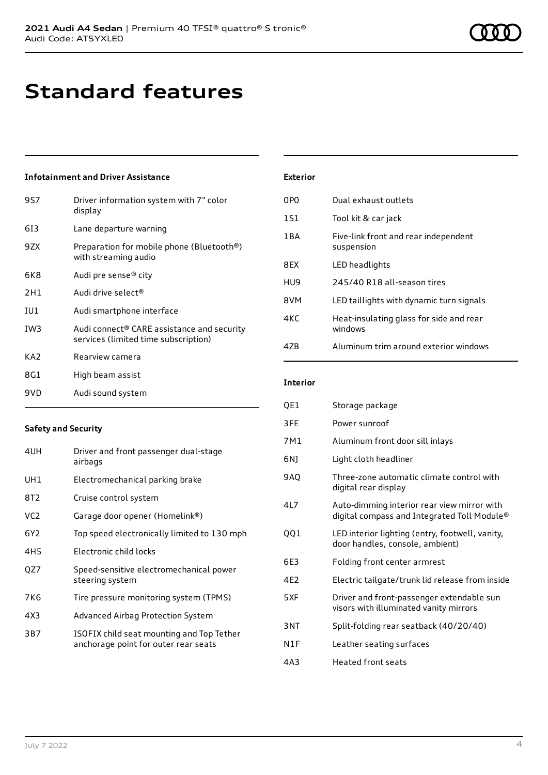## **Standard features**

## **Infotainment and Driver Assistance**

| 9S7             | Driver information system with 7" color<br>display                                 |
|-----------------|------------------------------------------------------------------------------------|
| 613             | Lane departure warning                                                             |
| 9ZX             | Preparation for mobile phone (Bluetooth®)<br>with streaming audio                  |
| 6K8             | Audi pre sense® city                                                               |
| 2H1             | Audi drive select <sup>®</sup>                                                     |
| IU1             | Audi smartphone interface                                                          |
| IW <sub>3</sub> | Audi connect® CARE assistance and security<br>services (limited time subscription) |
| KA <sub>2</sub> | Rearview camera                                                                    |
| 8G1             | High beam assist                                                                   |
| 9VD             | Audi sound system                                                                  |

### **Safety and Security**

| 4UH             | Driver and front passenger dual-stage<br>airbags                                  |
|-----------------|-----------------------------------------------------------------------------------|
| UH1             | Electromechanical parking brake                                                   |
| 8T2             | Cruise control system                                                             |
| VC <sub>2</sub> | Garage door opener (Homelink®)                                                    |
| 6Y <sub>2</sub> | Top speed electronically limited to 130 mph                                       |
| 4H <sub>5</sub> | Electronic child locks                                                            |
| QZ7             | Speed-sensitive electromechanical power<br>steering system                        |
| 7K6             | Tire pressure monitoring system (TPMS)                                            |
| 4X3             | Advanced Airbag Protection System                                                 |
| 3B7             | ISOFIX child seat mounting and Top Tether<br>anchorage point for outer rear seats |

| <b>Exterior</b> |                                                    |
|-----------------|----------------------------------------------------|
| 0PO             | Dual exhaust outlets                               |
| 1S1             | Tool kit & car jack                                |
| 1BA             | Five-link front and rear independent<br>suspension |
| 8FX             | LED headlights                                     |
| HU9             | 245/40 R18 all-season tires                        |
| 8VM             | LED taillights with dynamic turn signals           |
| 4KC             | Heat-insulating glass for side and rear<br>windows |
| 47R             | Aluminum trim around exterior windows              |

### **Interior**

| QE1              | Storage package                                                                            |
|------------------|--------------------------------------------------------------------------------------------|
| 3FE              | Power sunroof                                                                              |
| 7M1              | Aluminum front door sill inlays                                                            |
| 6NJ              | Light cloth headliner                                                                      |
| <b>9AO</b>       | Three-zone automatic climate control with<br>digital rear display                          |
| 417              | Auto-dimming interior rear view mirror with<br>digital compass and Integrated Toll Module® |
| QQ1              | LED interior lighting (entry, footwell, vanity,<br>door handles, console, ambient)         |
| 6E3              | Folding front center armrest                                                               |
| 4F <sub>2</sub>  | Electric tailgate/trunk lid release from inside                                            |
| 5XF              | Driver and front-passenger extendable sun<br>visors with illuminated vanity mirrors        |
| 3NT              | Split-folding rear seatback (40/20/40)                                                     |
| N <sub>1</sub> F | Leather seating surfaces                                                                   |
| 4A3              | Heated front seats                                                                         |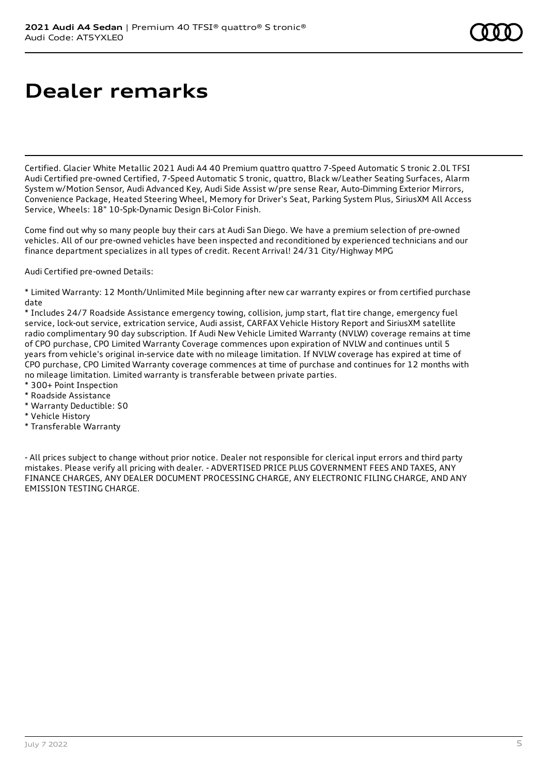## **Dealer remarks**

Certified. Glacier White Metallic 2021 Audi A4 40 Premium quattro quattro 7-Speed Automatic S tronic 2.0L TFSI Audi Certified pre-owned Certified, 7-Speed Automatic S tronic, quattro, Black w/Leather Seating Surfaces, Alarm System w/Motion Sensor, Audi Advanced Key, Audi Side Assist w/pre sense Rear, Auto-Dimming Exterior Mirrors, Convenience Package, Heated Steering Wheel, Memory for Driver's Seat, Parking System Plus, SiriusXM All Access Service, Wheels: 18" 10-Spk-Dynamic Design Bi-Color Finish.

Come find out why so many people buy their cars at Audi San Diego. We have a premium selection of pre-owned vehicles. All of our pre-owned vehicles have been inspected and reconditioned by experienced technicians and our finance department specializes in all types of credit. Recent Arrival! 24/31 City/Highway MPG

Audi Certified pre-owned Details:

\* Limited Warranty: 12 Month/Unlimited Mile beginning after new car warranty expires or from certified purchase date

\* Includes 24/7 Roadside Assistance emergency towing, collision, jump start, flat tire change, emergency fuel service, lock-out service, extrication service, Audi assist, CARFAX Vehicle History Report and SiriusXM satellite radio complimentary 90 day subscription. If Audi New Vehicle Limited Warranty (NVLW) coverage remains at time of CPO purchase, CPO Limited Warranty Coverage commences upon expiration of NVLW and continues until 5 years from vehicle's original in-service date with no mileage limitation. If NVLW coverage has expired at time of CPO purchase, CPO Limited Warranty coverage commences at time of purchase and continues for 12 months with no mileage limitation. Limited warranty is transferable between private parties.

- \* 300+ Point Inspection
- \* Roadside Assistance
- \* Warranty Deductible: \$0
- \* Vehicle History
- \* Transferable Warranty

- All prices subject to change without prior notice. Dealer not responsible for clerical input errors and third party mistakes. Please verify all pricing with dealer. - ADVERTISED PRICE PLUS GOVERNMENT FEES AND TAXES, ANY FINANCE CHARGES, ANY DEALER DOCUMENT PROCESSING CHARGE, ANY ELECTRONIC FILING CHARGE, AND ANY EMISSION TESTING CHARGE.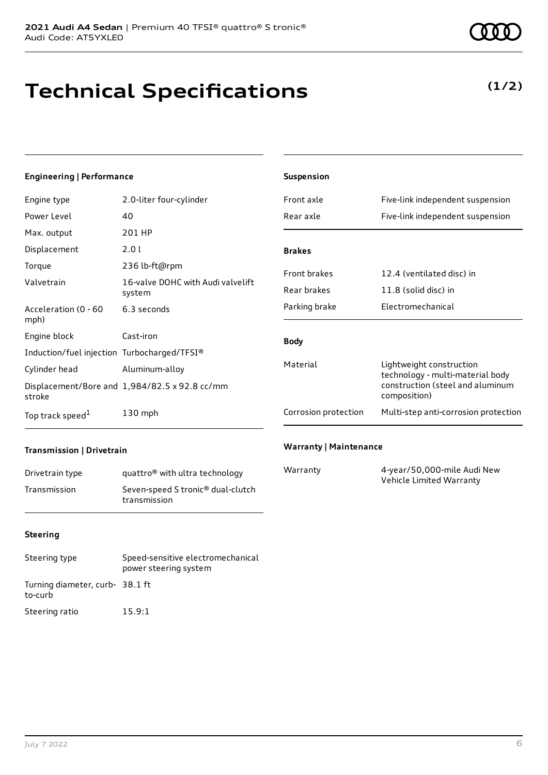## **Technical Specifications**

## **(1/2)**

## **Engineering | Performance**

| Engine type                                 | 2.0-liter four-cylinder                       |
|---------------------------------------------|-----------------------------------------------|
| Power Level                                 | 40                                            |
| Max. output                                 | 201 HP                                        |
| Displacement                                | 2.0 l                                         |
| Torque                                      | 236 lb-ft@rpm                                 |
| Valvetrain                                  | 16-valve DOHC with Audi valvelift<br>system   |
| Acceleration (0 - 60<br>mph)                | 6.3 seconds                                   |
| Engine block                                | Cast-iron                                     |
| Induction/fuel injection Turbocharged/TFSI® |                                               |
| Cylinder head                               | Aluminum-alloy                                |
| stroke                                      | Displacement/Bore and 1,984/82.5 x 92.8 cc/mm |
| Top track speed <sup>1</sup>                | 130 mph                                       |

| Suspension           |                                                                                                                  |
|----------------------|------------------------------------------------------------------------------------------------------------------|
| Front axle           | Five-link independent suspension                                                                                 |
| Rear axle            | Five-link independent suspension                                                                                 |
|                      |                                                                                                                  |
| <b>Brakes</b>        |                                                                                                                  |
| <b>Front brakes</b>  | 12.4 (ventilated disc) in                                                                                        |
| Rear brakes          | 11.8 (solid disc) in                                                                                             |
| Parking brake        | <b>Electromechanical</b>                                                                                         |
| <b>Body</b>          |                                                                                                                  |
| Material             | Lightweight construction<br>technology - multi-material body<br>construction (steel and aluminum<br>composition) |
| Corrosion protection | Multi-step anti-corrosion protection                                                                             |
|                      |                                                                                                                  |

### **Transmission | Drivetrain**

| Drivetrain type | quattro <sup>®</sup> with ultra technology                    |
|-----------------|---------------------------------------------------------------|
| Transmission    | Seven-speed S tronic <sup>®</sup> dual-clutch<br>transmission |

#### **Warranty | Maintenance**

| Warranty | 4-year/50,000-mile Audi New |
|----------|-----------------------------|
|          | Vehicle Limited Warranty    |

#### **Steering**

| Steering type                              | Speed-sensitive electromechanical<br>power steering system |
|--------------------------------------------|------------------------------------------------------------|
| Turning diameter, curb- 38.1 ft<br>to-curb |                                                            |
| Steering ratio                             | 15.9:1                                                     |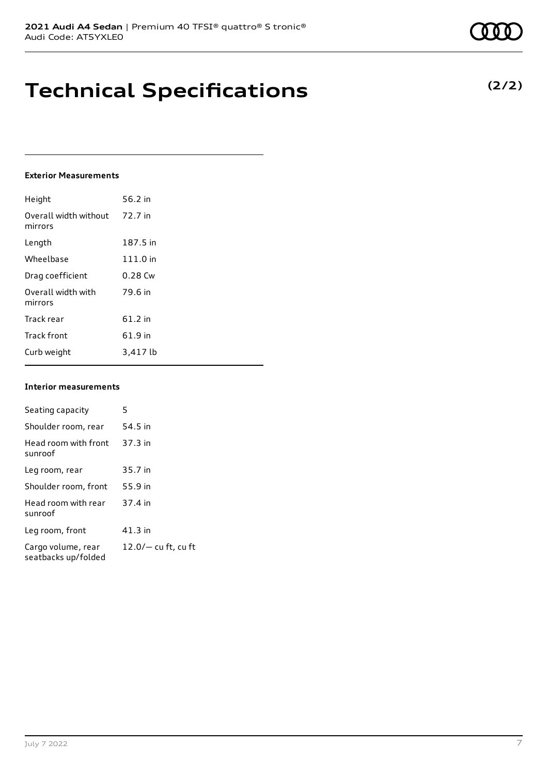# **Technical Specifications**

#### **Exterior Measurements**

| Height                           | 56.2 in   |
|----------------------------------|-----------|
| Overall width without<br>mirrors | 72.7 in   |
| Length                           | 187.5 in  |
| Wheelbase                        | 111.0 in  |
| Drag coefficient                 | $0.28$ Cw |
| Overall width with<br>mirrors    | 79.6 in   |
| Track rear                       | 61.2 in   |
| <b>Track front</b>               | 61.9 in   |
| Curb weight                      | 3,417 lb  |

#### **Interior measurements**

| Seating capacity                          | 5                     |
|-------------------------------------------|-----------------------|
| Shoulder room, rear                       | 54.5 in               |
| Head room with front<br>sunroof           | $37.3$ in             |
| Leg room, rear                            | 35.7 in               |
| Shoulder room, front                      | 55.9 in               |
| Head room with rear<br>sunroof            | 37.4 in               |
| Leg room, front                           | $41.3$ in             |
| Cargo volume, rear<br>seatbacks up/folded | $12.0/-$ cu ft, cu ft |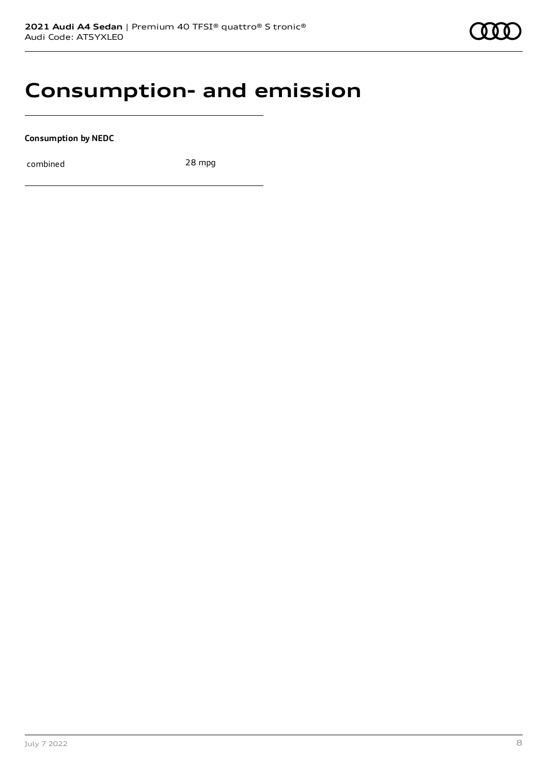## **Consumption- and emission**

**Consumption by NEDC**

combined 28 mpg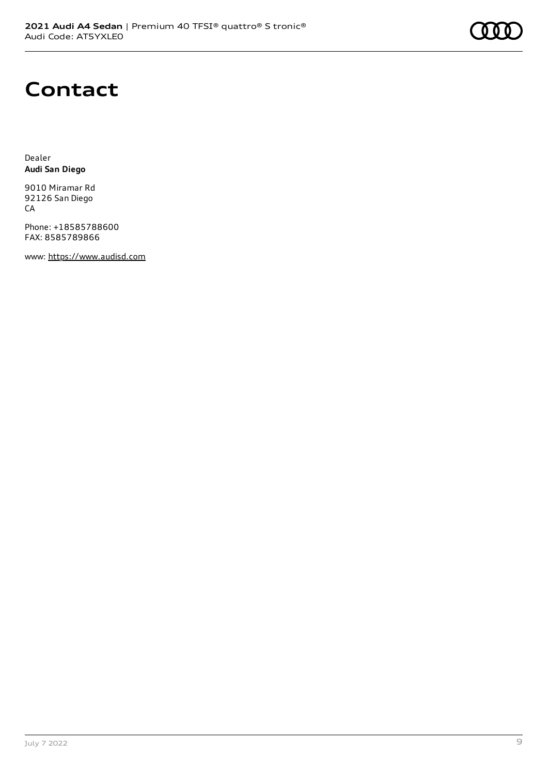

## **Contact**

Dealer **Audi San Diego**

9010 Miramar Rd 92126 San Diego CA

Phone: +18585788600 FAX: 8585789866

www: [https://www.audisd.com](https://www.audisd.com/)